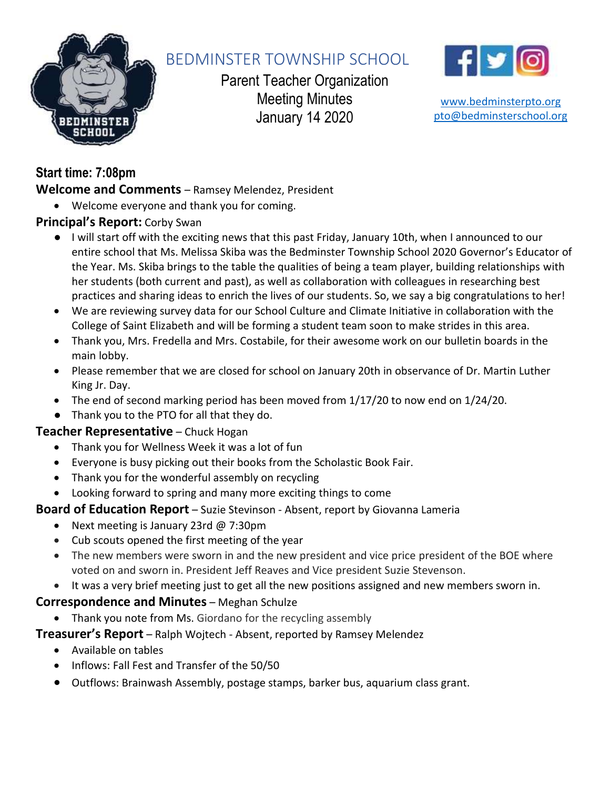

# BEDMINSTER TOWNSHIP SCHOOL

Parent Teacher Organization Meeting Minutes January 14 2020



[www.bedminsterpto.org](http://www.bedminsterpto.org/) [pto@bedminsterschool.org](mailto:pto@bedminsterschool.org)

# **Start time: 7:08pm**

**Welcome and Comments** – Ramsey Melendez, President

• Welcome everyone and thank you for coming.

# **Principal's Report:** Corby Swan

- I will start off with the exciting news that this past Friday, January 10th, when I announced to our entire school that Ms. Melissa Skiba was the Bedminster Township School 2020 Governor's Educator of the Year. Ms. Skiba brings to the table the qualities of being a team player, building relationships with her students (both current and past), as well as collaboration with colleagues in researching best practices and sharing ideas to enrich the lives of our students. So, we say a big congratulations to her!
- We are reviewing survey data for our School Culture and Climate Initiative in collaboration with the College of Saint Elizabeth and will be forming a student team soon to make strides in this area.
- Thank you, Mrs. Fredella and Mrs. Costabile, for their awesome work on our bulletin boards in the main lobby.
- Please remember that we are closed for school on January 20th in observance of Dr. Martin Luther King Jr. Day.
- The end of second marking period has been moved from 1/17/20 to now end on 1/24/20.
- Thank you to the PTO for all that they do.

# **Teacher Representative** – Chuck Hogan

- Thank you for Wellness Week it was a lot of fun
- Everyone is busy picking out their books from the Scholastic Book Fair.
- Thank you for the wonderful assembly on recycling
- Looking forward to spring and many more exciting things to come

# **Board of Education Report** – Suzie Stevinson - Absent, report by Giovanna Lameria

- Next meeting is January 23rd @ 7:30pm
- Cub scouts opened the first meeting of the year
- The new members were sworn in and the new president and vice price president of the BOE where voted on and sworn in. President Jeff Reaves and Vice president Suzie Stevenson.
- It was a very brief meeting just to get all the new positions assigned and new members sworn in.

# **Correspondence and Minutes** – Meghan Schulze

• Thank you note from Ms. Giordano for the recycling assembly

# **Treasurer's Report** – Ralph Wojtech - Absent, reported by Ramsey Melendez

- Available on tables
- Inflows: Fall Fest and Transfer of the 50/50
- Outflows: Brainwash Assembly, postage stamps, barker bus, aquarium class grant.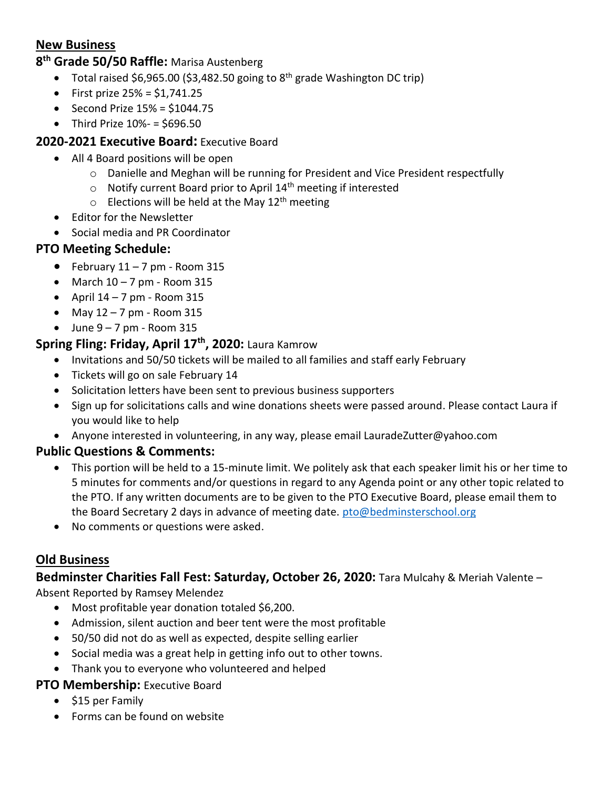# **New Business**

#### **8 th Grade 50/50 Raffle:** Marisa Austenberg

- Total raised \$6,965.00 (\$3,482.50 going to  $8<sup>th</sup>$  grade Washington DC trip)
- First prize  $25% = $1,741.25$
- Second Prize  $15% = $1044.75$
- Third Prize  $10\% 5696.50$

#### **2020-2021 Executive Board:** Executive Board

- All 4 Board positions will be open
	- $\circ$  Danielle and Meghan will be running for President and Vice President respectfully
	- $\circ$  Notify current Board prior to April 14<sup>th</sup> meeting if interested
	- $\circ$  Elections will be held at the May 12<sup>th</sup> meeting
- Editor for the Newsletter
- Social media and PR Coordinator

#### **PTO Meeting Schedule:**

- February  $11 7$  pm Room 315
- March  $10 7$  pm Room 315
- April  $14 7$  pm Room 315
- May  $12 7$  pm Room 315
- $\bullet$  June  $9 7$  pm Room 315

# **Spring Fling: Friday, April 17th, 2020:** Laura Kamrow

- Invitations and 50/50 tickets will be mailed to all families and staff early February
- Tickets will go on sale February 14
- Solicitation letters have been sent to previous business supporters
- Sign up for solicitations calls and wine donations sheets were passed around. Please contact Laura if you would like to help
- Anyone interested in volunteering, in any way, please email LauradeZutter@yahoo.com

#### **Public Questions & Comments:**

- This portion will be held to a 15-minute limit. We politely ask that each speaker limit his or her time to 5 minutes for comments and/or questions in regard to any Agenda point or any other topic related to the PTO. If any written documents are to be given to the PTO Executive Board, please email them to the Board Secretary 2 days in advance of meeting date. [pto@bedminsterschool.org](mailto:pto@bedminsterschool.org)
- No comments or questions were asked.

# **Old Business**

**Bedminster Charities Fall Fest: Saturday, October 26, 2020:** Tara Mulcahy & Meriah Valente –

Absent Reported by Ramsey Melendez

- Most profitable year donation totaled \$6,200.
- Admission, silent auction and beer tent were the most profitable
- 50/50 did not do as well as expected, despite selling earlier
- Social media was a great help in getting info out to other towns.
- Thank you to everyone who volunteered and helped

#### **PTO Membership: Executive Board**

- \$15 per Family
- Forms can be found on website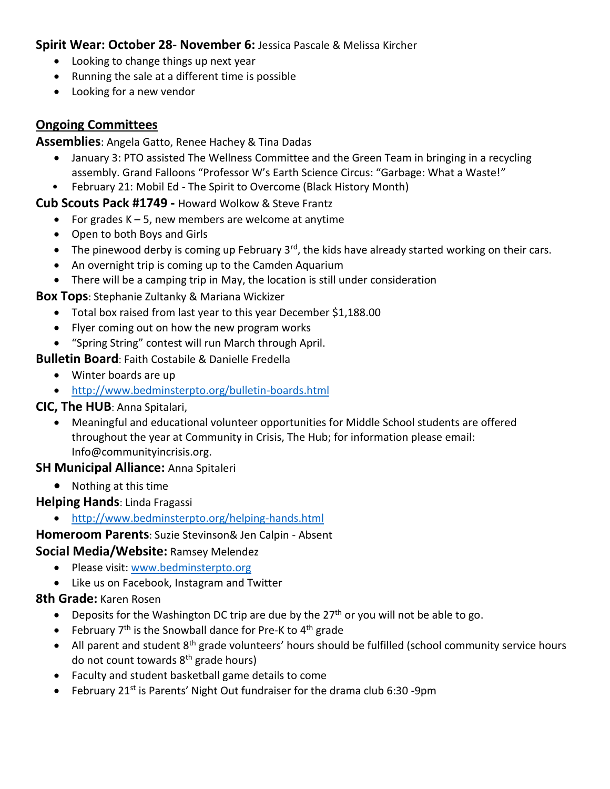#### **Spirit Wear: October 28- November 6:** Jessica Pascale & Melissa Kircher

- Looking to change things up next year
- Running the sale at a different time is possible
- Looking for a new vendor

# **Ongoing Committees**

**Assemblies**: Angela Gatto, Renee Hachey & Tina Dadas

- January 3: PTO assisted The Wellness Committee and the Green Team in bringing in a recycling assembly. Grand Falloons "Professor W's Earth Science Circus: "Garbage: What a Waste!"
- February 21: Mobil Ed The Spirit to Overcome (Black History Month)

#### **Cub Scouts Pack #1749 -** Howard Wolkow & Steve Frantz

- For grades  $K 5$ , new members are welcome at anytime
- Open to both Boys and Girls
- The pinewood derby is coming up February  $3<sup>rd</sup>$ , the kids have already started working on their cars.
- An overnight trip is coming up to the Camden Aquarium
- There will be a camping trip in May, the location is still under consideration

**Box Tops**: Stephanie Zultanky & Mariana Wickizer

- Total box raised from last year to this year December \$1,188.00
- Flyer coming out on how the new program works
- "Spring String" contest will run March through April.

# **Bulletin Board**: Faith Costabile & Danielle Fredella

- Winter boards are up
- <http://www.bedminsterpto.org/bulletin-boards.html>

# **CIC, The HUB**: Anna Spitalari,

• Meaningful and educational volunteer opportunities for Middle School students are offered throughout the year at Community in Crisis, The Hub; for information please email: Info@communityincrisis.org.

# **SH Municipal Alliance:** Anna Spitaleri

• Nothing at this time

# **Helping Hands**: Linda Fragassi

• <http://www.bedminsterpto.org/helping-hands.html>

# **Homeroom Parents**: Suzie Stevinson& Jen Calpin - Absent

# **Social Media/Website:** Ramsey Melendez

- Please visit: [www.bedminsterpto.org](http://www.bedminsterpto.org/)
- Like us on Facebook, Instagram and Twitter

# **8th Grade:** Karen Rosen

- Deposits for the Washington DC trip are due by the  $27<sup>th</sup>$  or you will not be able to go.
- February  $7<sup>th</sup>$  is the Snowball dance for Pre-K to  $4<sup>th</sup>$  grade
- All parent and student 8<sup>th</sup> grade volunteers' hours should be fulfilled (school community service hours do not count towards 8<sup>th</sup> grade hours)
- Faculty and student basketball game details to come
- February 21<sup>st</sup> is Parents' Night Out fundraiser for the drama club 6:30 -9pm